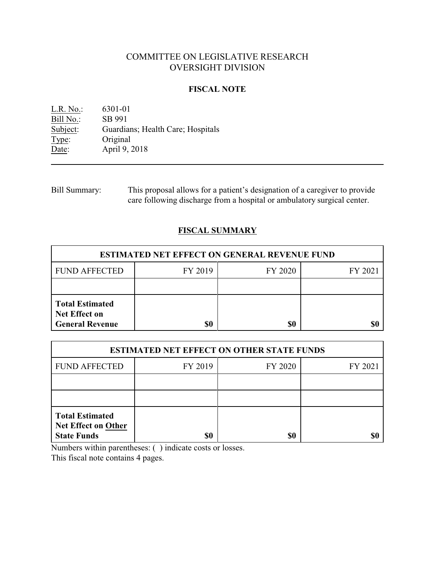# COMMITTEE ON LEGISLATIVE RESEARCH OVERSIGHT DIVISION

### **FISCAL NOTE**

L.R. No.: 6301-01<br>Bill No.: SB 991 Bill No.:<br>Subject: Guardians; Health Care; Hospitals Type: Original<br>Date: April 9, 2 April 9, 2018

Bill Summary: This proposal allows for a patient's designation of a caregiver to provide care following discharge from a hospital or ambulatory surgical center.

## **FISCAL SUMMARY**

| <b>ESTIMATED NET EFFECT ON GENERAL REVENUE FUND</b>                      |         |         |         |  |
|--------------------------------------------------------------------------|---------|---------|---------|--|
| <b>FUND AFFECTED</b>                                                     | FY 2019 | FY 2020 | FY 2021 |  |
|                                                                          |         |         |         |  |
| <b>Total Estimated</b><br><b>Net Effect on</b><br><b>General Revenue</b> | \$0     | \$0     |         |  |

| <b>ESTIMATED NET EFFECT ON OTHER STATE FUNDS</b>                    |         |         |         |  |
|---------------------------------------------------------------------|---------|---------|---------|--|
| <b>FUND AFFECTED</b>                                                | FY 2019 | FY 2020 | FY 2021 |  |
|                                                                     |         |         |         |  |
|                                                                     |         |         |         |  |
| <b>Total Estimated</b><br>Net Effect on Other<br><b>State Funds</b> | \$0     | \$0     |         |  |

Numbers within parentheses: ( ) indicate costs or losses.

This fiscal note contains 4 pages.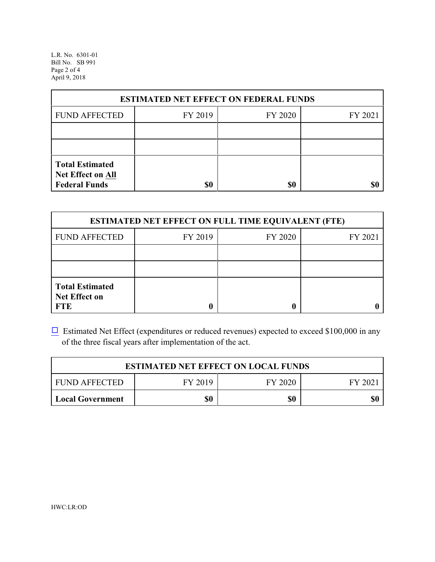L.R. No. 6301-01 Bill No. SB 991 Page 2 of 4 April 9, 2018

| <b>ESTIMATED NET EFFECT ON FEDERAL FUNDS</b>                        |         |         |         |  |
|---------------------------------------------------------------------|---------|---------|---------|--|
| <b>FUND AFFECTED</b>                                                | FY 2019 | FY 2020 | FY 2021 |  |
|                                                                     |         |         |         |  |
|                                                                     |         |         |         |  |
| <b>Total Estimated</b><br>Net Effect on All<br><b>Federal Funds</b> | \$0     | \$0     |         |  |

| <b>ESTIMATED NET EFFECT ON FULL TIME EQUIVALENT (FTE)</b>    |         |         |         |  |
|--------------------------------------------------------------|---------|---------|---------|--|
| <b>FUND AFFECTED</b>                                         | FY 2019 | FY 2020 | FY 2021 |  |
|                                                              |         |         |         |  |
|                                                              |         |         |         |  |
| <b>Total Estimated</b><br><b>Net Effect on</b><br><b>FTE</b> |         |         |         |  |

 $\Box$  Estimated Net Effect (expenditures or reduced revenues) expected to exceed \$100,000 in any of the three fiscal years after implementation of the act.

| <b>ESTIMATED NET EFFECT ON LOCAL FUNDS</b> |         |         |        |
|--------------------------------------------|---------|---------|--------|
| <b>FUND AFFECTED</b>                       | FY 2019 | FY 2020 | FY 202 |
| <b>Local Government</b>                    | \$0     | \$0     | \$0    |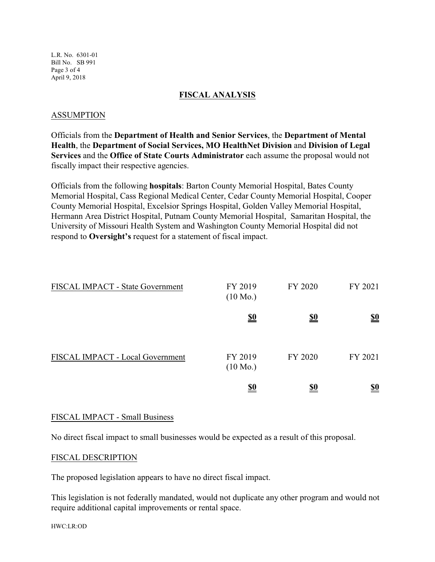L.R. No. 6301-01 Bill No. SB 991 Page 3 of 4 April 9, 2018

#### **FISCAL ANALYSIS**

#### ASSUMPTION

Officials from the **Department of Health and Senior Services**, the **Department of Mental Health**, the **Department of Social Services, MO HealthNet Division** and **Division of Legal Services** and the **Office of State Courts Administrator** each assume the proposal would not fiscally impact their respective agencies.

Officials from the following **hospitals**: Barton County Memorial Hospital, Bates County Memorial Hospital, Cass Regional Medical Center, Cedar County Memorial Hospital, Cooper County Memorial Hospital, Excelsior Springs Hospital, Golden Valley Memorial Hospital, Hermann Area District Hospital, Putnam County Memorial Hospital, Samaritan Hospital, the University of Missouri Health System and Washington County Memorial Hospital did not respond to **Oversight's** request for a statement of fiscal impact.

| FISCAL IMPACT - State Government | FY 2019<br>$(10 \text{ Mo.})$ | FY 2020    | FY 2021                       |
|----------------------------------|-------------------------------|------------|-------------------------------|
|                                  | <u>\$0</u>                    | <u>\$0</u> | $\underline{\underline{\$0}}$ |
| FISCAL IMPACT - Local Government | FY 2019<br>$(10 \text{ Mo.})$ | FY 2020    | FY 2021                       |
|                                  | <u>\$0</u>                    | <u>\$0</u> | <u>\$0</u>                    |

### FISCAL IMPACT - Small Business

No direct fiscal impact to small businesses would be expected as a result of this proposal.

#### FISCAL DESCRIPTION

The proposed legislation appears to have no direct fiscal impact.

This legislation is not federally mandated, would not duplicate any other program and would not require additional capital improvements or rental space.

HWC:LR:OD